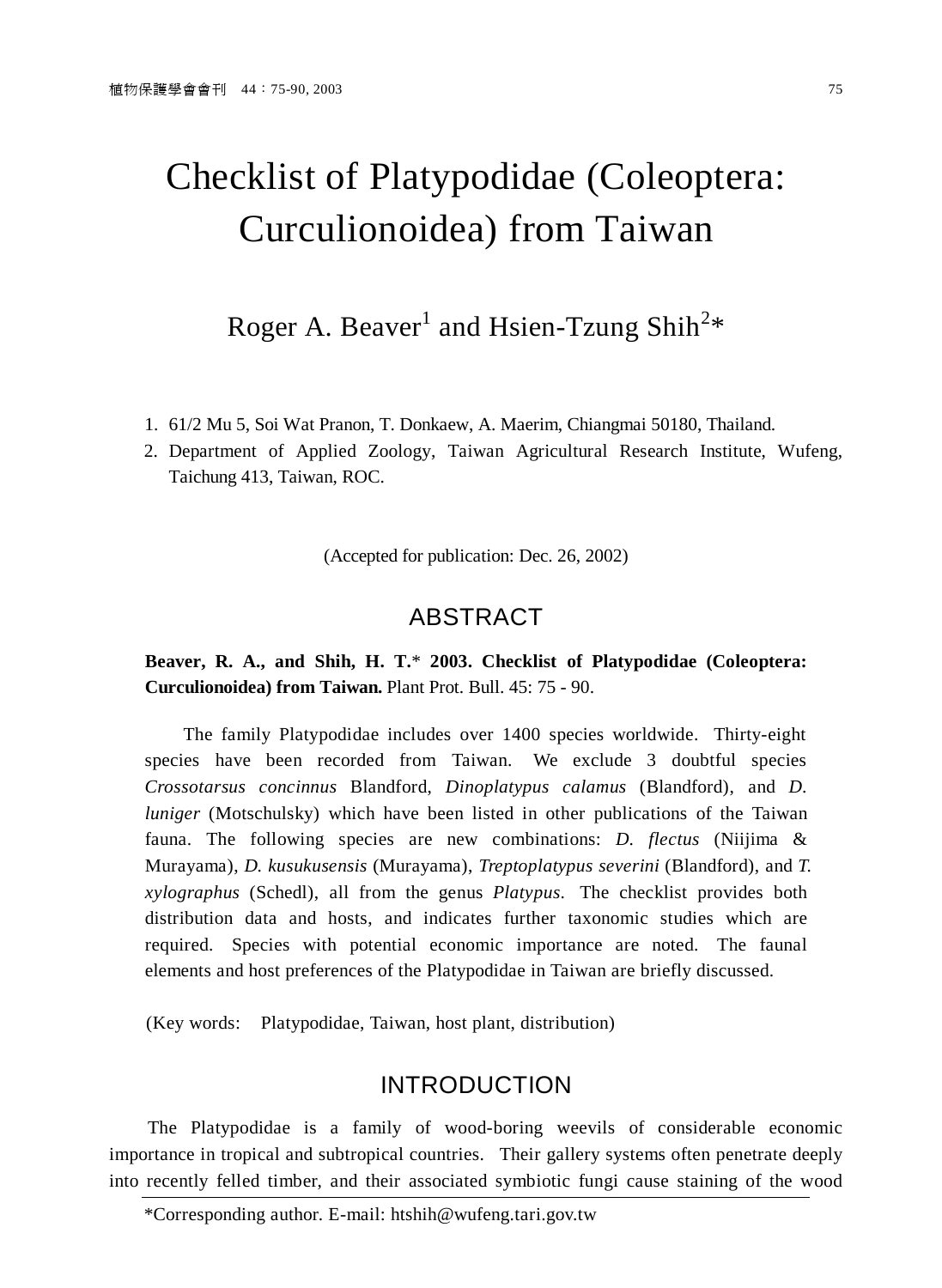# Checklist of Platypodidae (Coleoptera: Curculionoidea) from Taiwan

Roger A. Beaver<sup>1</sup> and Hsien-Tzung Shih<sup>2\*</sup>

- 1. 61/2 Mu 5, Soi Wat Pranon, T. Donkaew, A. Maerim, Chiangmai 50180, Thailand.
- 2. Department of Applied Zoology, Taiwan Agricultural Research Institute, Wufeng, Taichung 413, Taiwan, ROC.

(Accepted for publication: Dec. 26, 2002)

## ABSTRACT

**Beaver, R. A., and Shih, H. T.**\* **2003. Checklist of Platypodidae (Coleoptera: Curculionoidea) from Taiwan.** Plant Prot. Bull. 45: 75 - 90.

The family Platypodidae includes over 1400 species worldwide. Thirty-eight species have been recorded from Taiwan. We exclude 3 doubtful species *Crossotarsus concinnus* Blandford, *Dinoplatypus calamus* (Blandford), and *D. luniger* (Motschulsky) which have been listed in other publications of the Taiwan fauna. The following species are new combinations: *D. flectus* (Niijima & Murayama), *D. kusukusensis* (Murayama), *Treptoplatypus severini* (Blandford), and *T. xylographus* (Schedl), all from the genus *Platypus*. The checklist provides both distribution data and hosts, and indicates further taxonomic studies which are required. Species with potential economic importance are noted. The faunal elements and host preferences of the Platypodidae in Taiwan are briefly discussed.

(Key words: Platypodidae, Taiwan, host plant, distribution)

## INTRODUCTION

The Platypodidae is a family of wood-boring weevils of considerable economic importance in tropical and subtropical countries. Their gallery systems often penetrate deeply into recently felled timber, and their associated symbiotic fungi cause staining of the wood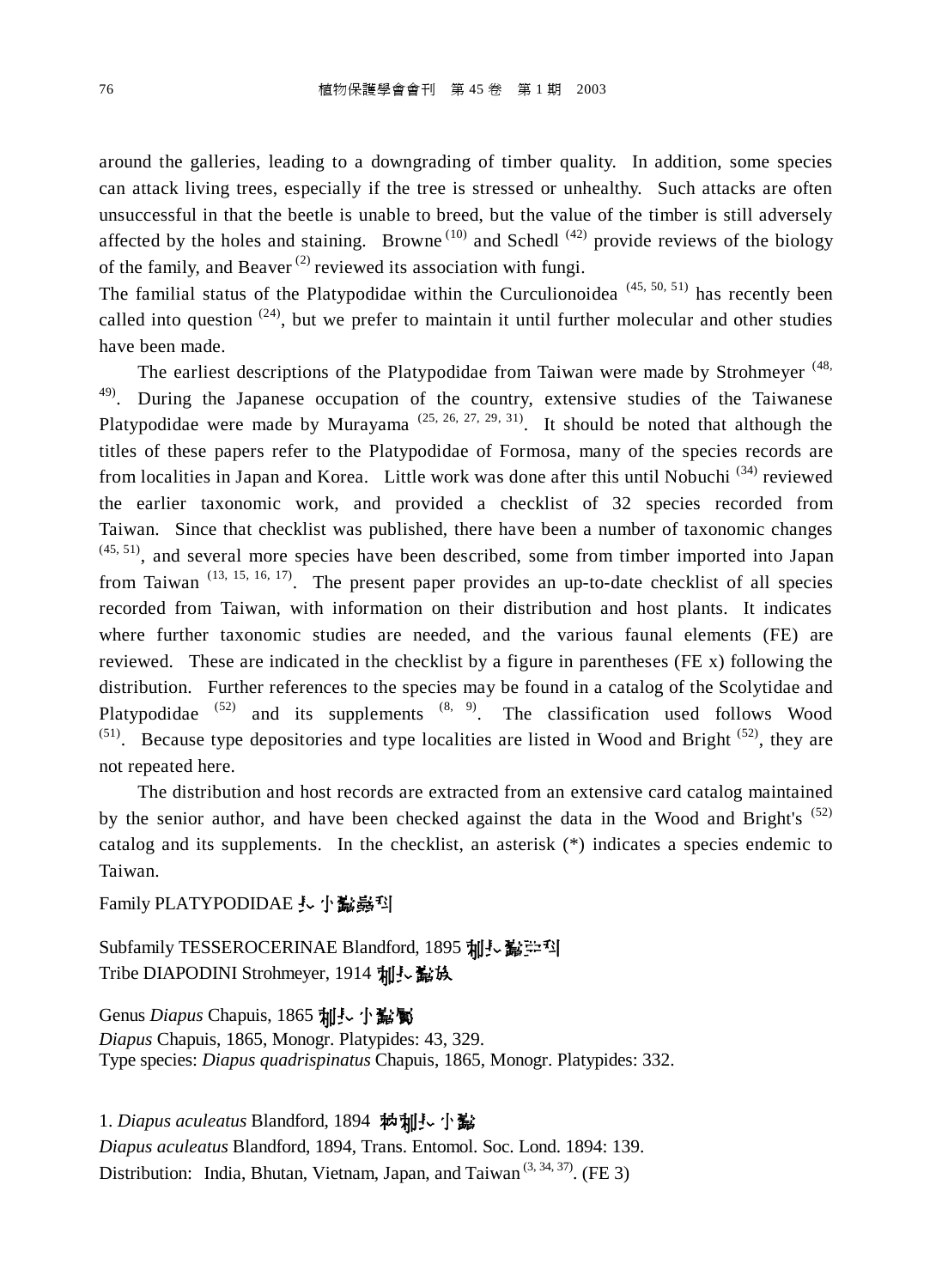around the galleries, leading to a downgrading of timber quality. In addition, some species can attack living trees, especially if the tree is stressed or unhealthy. Such attacks are often unsuccessful in that the beetle is unable to breed, but the value of the timber is still adversely affected by the holes and staining. Browne<sup>(10)</sup> and Schedl<sup>(42)</sup> provide reviews of the biology of the family, and Beaver<sup>(2)</sup> reviewed its association with fungi.

The familial status of the Platypodidae within the Curculionoidea  $(45, 50, 51)$  has recently been called into question  $(24)$ , but we prefer to maintain it until further molecular and other studies have been made.

The earliest descriptions of the Platypodidae from Taiwan were made by Strohmeyer<sup>(48,</sup> <sup>49)</sup>. During the Japanese occupation of the country, extensive studies of the Taiwanese Platypodidae were made by Murayama<sup>(25, 26, 27, 29, 31)</sup>. It should be noted that although the titles of these papers refer to the Platypodidae of Formosa, many of the species records are from localities in Japan and Korea. Little work was done after this until Nobuchi<sup>(34)</sup> reviewed the earlier taxonomic work, and provided a checklist of 32 species recorded from Taiwan. Since that checklist was published, there have been a number of taxonomic changes  $(45, 51)$ , and several more species have been described, some from timber imported into Japan from Taiwan<sup>(13, 15, 16, 17)</sup>. The present paper provides an up-to-date checklist of all species recorded from Taiwan, with information on their distribution and host plants. It indicates where further taxonomic studies are needed, and the various faunal elements (FE) are reviewed. These are indicated in the checklist by a figure in parentheses (FE x) following the distribution. Further references to the species may be found in a catalog of the Scolytidae and Platypodidae  $(52)$  and its supplements  $(8, 9)$ . The classification used follows Wood  $(51)$ . Because type depositories and type localities are listed in Wood and Bright  $(52)$ , they are not repeated here.

The distribution and host records are extracted from an extensive card catalog maintained by the senior author, and have been checked against the data in the Wood and Bright's  $(52)$ catalog and its supplements. In the checklist, an asterisk (\*) indicates a species endemic to Taiwan.

Family PLATYPODIDAE *、小说*嘉科

Subfamily TESSEROCERINAE Blandford, 1895 加長鬣岸科 Tribe DIAPODINI Strohmeyer, 1914 加長 編

Genus *Diapus* Chapuis, 1865 加長小鬍鬟

*Diapus* Chapuis, 1865, Monogr. Platypides: 43, 329. Type species: *Diapus quadrispinatus* Chapuis, 1865, Monogr. Platypides: 332.

1. *Diapus aculeatus* Blandford, 1894 執秈長小鬣

*Diapus aculeatus* Blandford, 1894, Trans. Entomol. Soc. Lond. 1894: 139. Distribution: India, Bhutan, Vietnam, Japan, and Taiwan<sup> $(3, 34, 37)$ </sup>. (FE 3)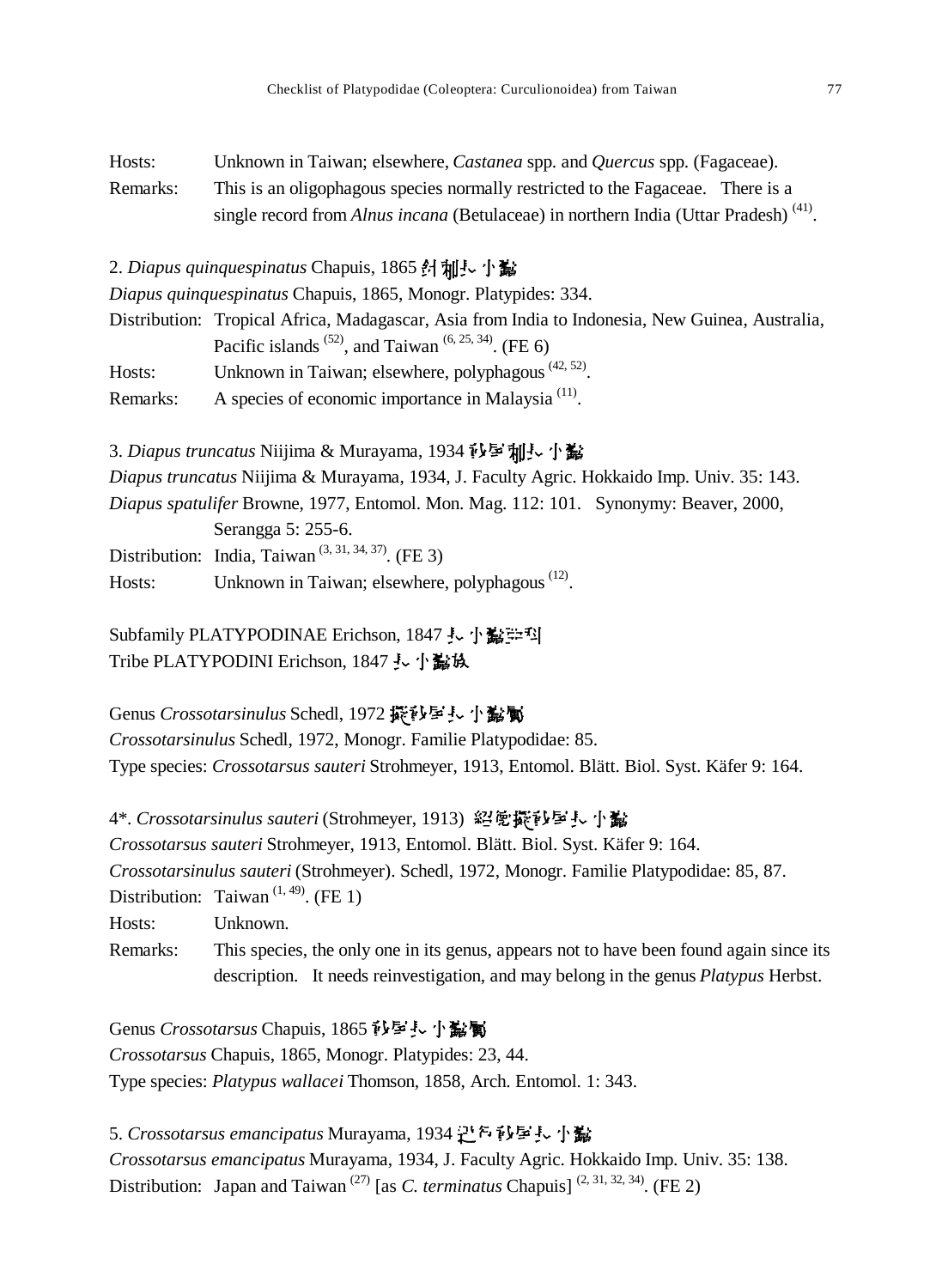| Hosts:   | Unknown in Taiwan; elsewhere, Castanea spp. and Quercus spp. (Fagaceae).                         |
|----------|--------------------------------------------------------------------------------------------------|
| Remarks: | This is an oligophagous species normally restricted to the Fagaceae. There is a                  |
|          | single record from Alnus incana (Betulaceae) in northern India (Uttar Pradesh) <sup>(41)</sup> . |

2. Diapus quinquespinatus Chapuis, 1865 针 **秈** 小 说

*Diapus quinquespinatus* Chapuis, 1865, Monogr. Platypides: 334.

Distribution: Tropical Africa, Madagascar, Asia from India to Indonesia, New Guinea, Australia, Pacific islands  $^{(52)}$ , and Taiwan  $^{(6, 25, 34)}$ . (FE 6)

Hosts: Unknown in Taiwan; elsewhere, polyphagous  $(42, 52)$ .

Remarks: A species of economic importance in Malaysia<sup>(11)</sup>.

3. *Diapus truncatus* Niijima & Murayama, 1934 秒星刘玉小鬣 *Diapus truncatus* Niijima & Murayama, 1934, J. Faculty Agric. Hokkaido Imp. Univ. 35: 143. *Diapus spatulifer* Browne, 1977, Entomol. Mon. Mag. 112: 101. Synonymy: Beaver, 2000, Serangga 5: 255-6. Distribution: India, Taiwan<sup> $(3, 31, 34, 37)$ </sup>. (FE 3) Hosts: Unknown in Taiwan; elsewhere, polyphagous<sup>(12)</sup>.

Subfamily PLATYPODINAE Erichson, 1847 *、*小鬍头 Tribe PLATYPODINI Erichson, 1847 長小監族

Genus *Crossotarsinulus* Schedl, 1972 擬砂星長小髷屬 *Crossotarsinulus* Schedl, 1972, Monogr. Familie Platypodidae: 85. Type species: *Crossotarsus sauteri* Strohmeyer, 1913, Entomol. Blätt. Biol. Syst. Käfer 9: 164.

4<sup>\*</sup>. *Crossotarsinulus sauteri* (Strohmeyer, 1913) 紹覽擬砂屋長小髷 *Crossotarsus sauteri* Strohmeyer, 1913, Entomol. Blätt. Biol. Syst. Käfer 9: 164. *Crossotarsinulus sauteri* (Strohmeyer). Schedl, 1972, Monogr. Familie Platypodidae: 85, 87. Distribution: Taiwan<sup> $(1, 49)$ </sup>. (FE 1) Hosts: Unknown. Remarks: This species, the only one in its genus, appears not to have been found again since its description. It needs reinvestigation, and may belong in the genus *Platypus* Herbst.

Genus *Crossotarsus* Chapuis, 1865 秒早長小點屬 *Crossotarsus* Chapuis, 1865, Monogr. Platypides: 23, 44. Type species: *Platypus wallacei* Thomson, 1858, Arch. Entomol. 1: 343.

5. *Crossotarsus emancipatus* Murayama, 1934 迅乞彭屋長 小蠹 *Crossotarsus emancipatus* Murayama, 1934, J. Faculty Agric. Hokkaido Imp. Univ. 35: 138. Distribution: Japan and Taiwan<sup>(27)</sup> [as *C. terminatus* Chapuis]<sup>(2, 31, 32, 34). (FE 2)</sup>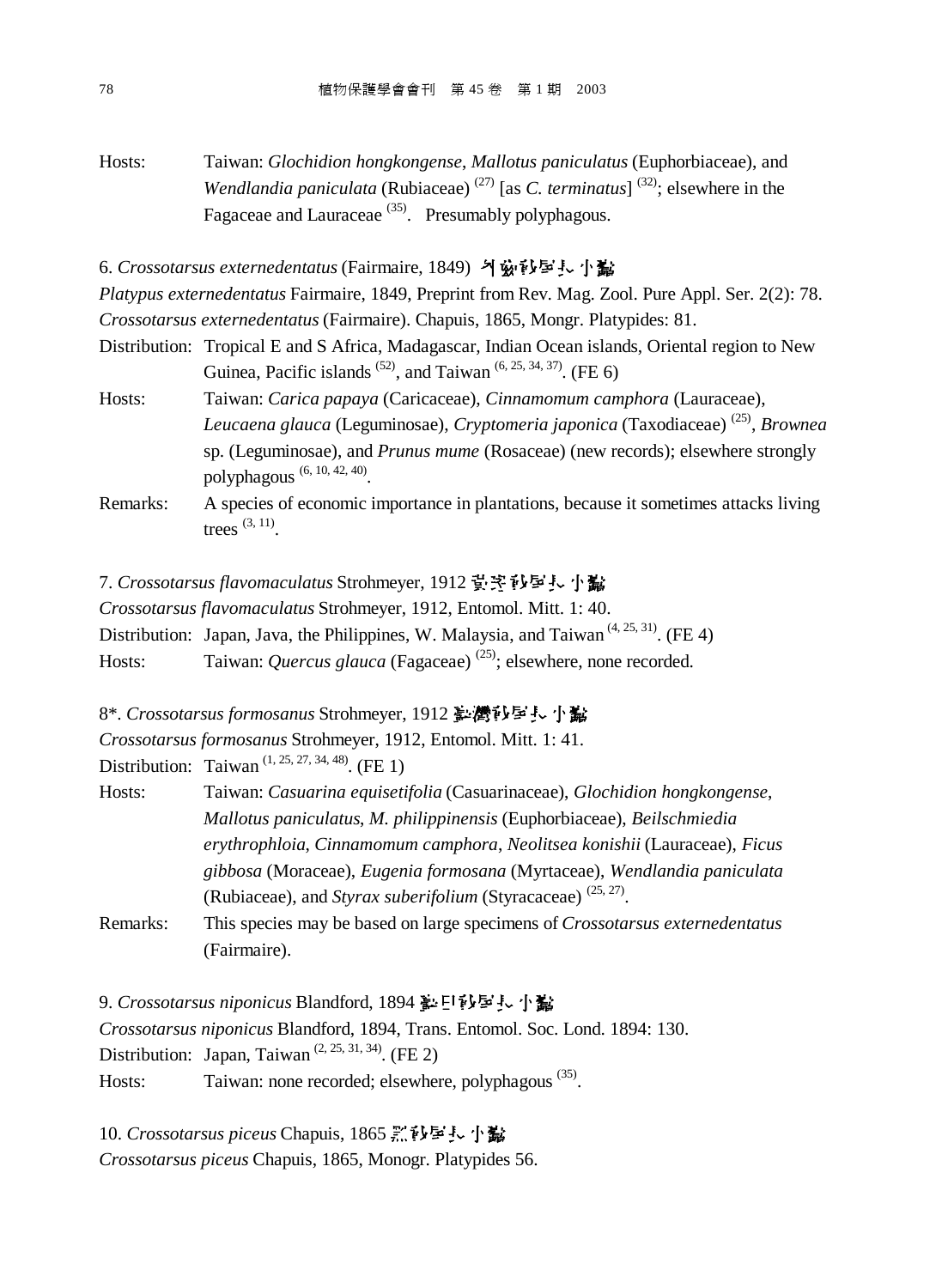Hosts: Taiwan: *Glochidion hongkongense*, *Mallotus paniculatus* (Euphorbiaceae), and *Wendlandia paniculata* (Rubiaceae)<sup>(27)</sup> [as *C. terminatus*]<sup>(32)</sup>; elsewhere in the Fagaceae and Lauraceae<sup>(35)</sup>. Presumably polyphagous.

6. *Crossotarsus externedentatus* (Fairmaire, 1849) 기兹한토토 小蠹

*Platypus externedentatus* Fairmaire, 1849, Preprint from Rev. Mag. Zool. Pure Appl. Ser. 2(2): 78. *Crossotarsus externedentatus* (Fairmaire). Chapuis, 1865, Mongr. Platypides: 81.

- Distribution: Tropical E and S Africa, Madagascar, Indian Ocean islands, Oriental region to New Guinea, Pacific islands  $^{(52)}$ , and Taiwan  $^{(6, 25, 34, 37)}$ . (FE 6)
- Hosts: Taiwan: *Carica papaya* (Caricaceae), *Cinnamomum camphora* (Lauraceae), *Leucaena glauca* (Leguminosae), *Cryptomeria japonica* (Taxodiaceae) (25) , *Brownea* sp. (Leguminosae), and *Prunus mume* (Rosaceae) (new records); elsewhere strongly polyphagous (6, 10, 42, 40) .
- Remarks: A species of economic importance in plantations, because it sometimes attacks living trees  $(3, 11)$ .
- 7. *Crossotarsus flavomaculatus* Strohmeyer, 1912 豈空彭屋長小髷
- *Crossotarsus flavomaculatus* Strohmeyer, 1912, Entomol. Mitt. 1: 40.
- Distribution: Japan, Java, the Philippines, W. Malaysia, and Taiwan<sup> $(4, 25, 31)$ </sup>. (FE 4)
- Hosts: Taiwan: *Quercus glauca* (Fagaceae)<sup>(25)</sup>; elsewhere, none recorded.
- 8<sup>\*</sup>. *Crossotarsus formosanus* Strohmeyer, 1912 を灣沙戶長小髷
- *Crossotarsus formosanus* Strohmeyer, 1912, Entomol. Mitt. 1: 41.

Distribution: Taiwan<sup> $(1, 25, 27, 34, 48)$ </sup>. (FE 1)

- Hosts: Taiwan: *Casuarina equisetifolia* (Casuarinaceae), *Glochidion hongkongense*, *Mallotus paniculatus*, *M. philippinensis* (Euphorbiaceae), *Beilschmiedia erythrophloia*, *Cinnamomum camphora*, *Neolitsea konishii* (Lauraceae), *Ficus gibbosa* (Moraceae), *Eugenia formosana* (Myrtaceae), *Wendlandia paniculata* (Rubiaceae), and *Styrax suberifolium* (Styracaceae)<sup>(25, 27)</sup>.
- Remarks: This species may be based on large specimens of *Crossotarsus externedentatus* (Fairmaire).

9. *Crossotarsus niponicus* Blandford, 1894 淳日砂屋長小髷

*Crossotarsus niponicus* Blandford, 1894, Trans. Entomol. Soc. Lond. 1894: 130. Distribution: Japan, Taiwan<sup> $(2, 25, 31, 34)$ </sup>. (FE 2)

Hosts: Taiwan: none recorded; elsewhere, polyphagous<sup>(35)</sup>.

10. *Crossotarsus piceus* Chapuis, 1865 黑砂星長小髷

*Crossotarsus piceus* Chapuis, 1865, Monogr. Platypides 56.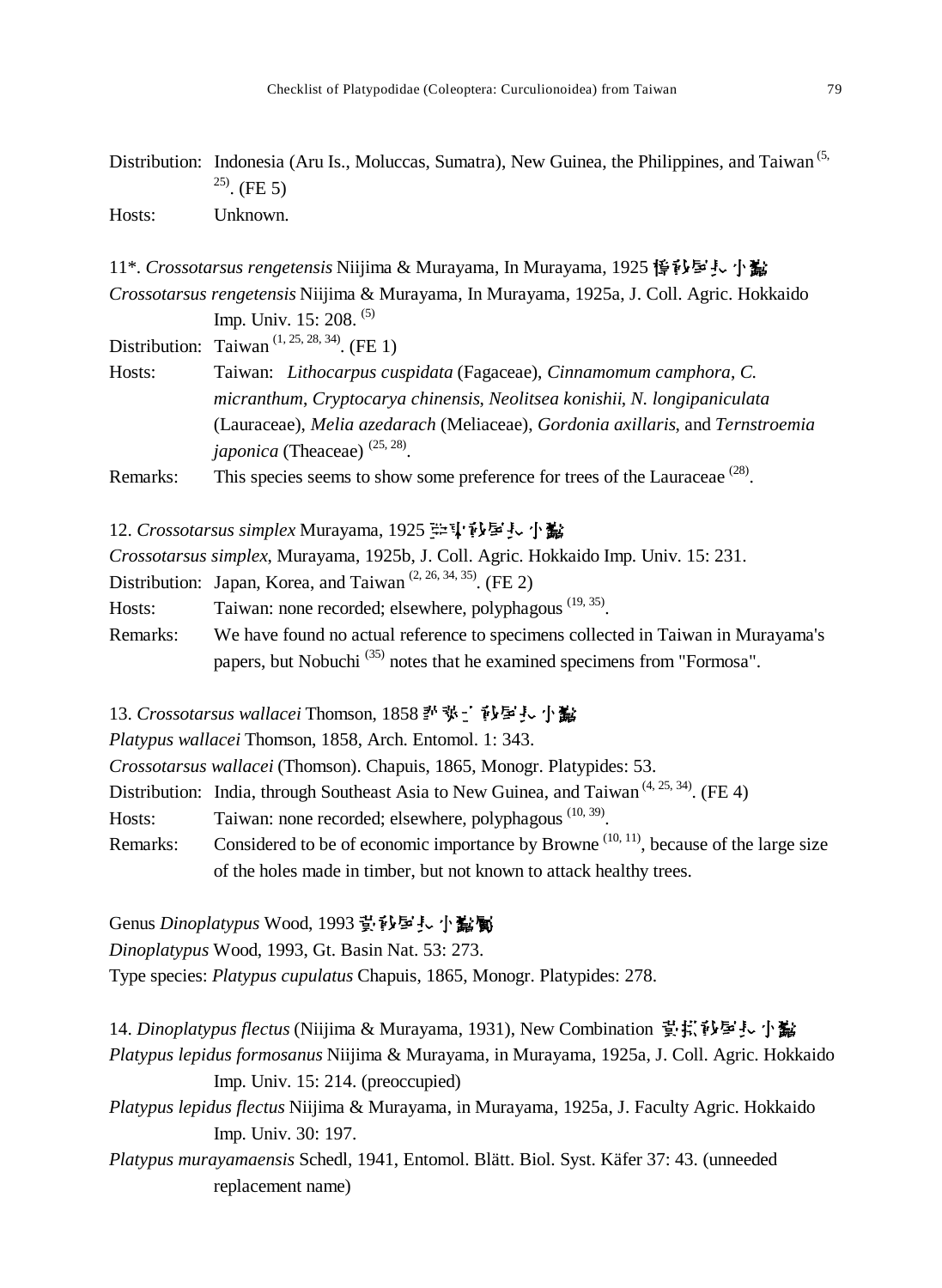Distribution: Indonesia (Aru Is., Moluccas, Sumatra), New Guinea, the Philippines, and Taiwan<sup>(5,</sup>  $^{25)}$ . (FE 5) Hosts: Unknown.

11\*. *Crossotarsus rengetensis* Niijima & Murayama, In Murayama, 1925 说它写去小说 *Crossotarsus rengetensis* Niijima & Murayama, In Murayama, 1925a, J. Coll. Agric. Hokkaido Imp. Univ. 15: 208. <sup>(5)</sup>

Distribution: Taiwan<sup> $(1, 25, 28, 34)$ </sup>. (FE 1)

Hosts: Taiwan: *Lithocarpus cuspidata* (Fagaceae), *Cinnamomum camphora*, *C. micranthum*, *Cryptocarya chinensis*, *Neolitsea konishii*, *N. longipaniculata* (Lauraceae), *Melia azedarach* (Meliaceae), *Gordonia axillaris*, and *Ternstroemia japonica* (Theaceae) <sup>(25, 28)</sup>.

Remarks: This species seems to show some preference for trees of the Lauraceae  $^{(28)}$ .

12. *Crossotarsus simplex* Murayama, 1925 毕即彭屋長 小鷭

*Crossotarsus simplex*, Murayama, 1925b, J. Coll. Agric. Hokkaido Imp. Univ. 15: 231.

Distribution: Japan, Korea, and Taiwan<sup> $(2, 26, 34, 35)$ </sup>. (FE 2)

Hosts: Taiwan: none recorded; elsewhere, polyphagous<sup>(19, 35)</sup>.

Remarks: We have found no actual reference to specimens collected in Taiwan in Murayama's papers, but Nobuchi<sup>(35)</sup> notes that he examined specimens from "Formosa".

13. *Crossotarsus wallacei* Thomson, 1858 扑弥山砂屋長小蠶

*Platypus wallacei* Thomson, 1858, Arch. Entomol. 1: 343.

*Crossotarsus wallacei* (Thomson). Chapuis, 1865, Monogr. Platypides: 53.

Distribution: India, through Southeast Asia to New Guinea, and Taiwan<sup> $(4, 25, 34)$ </sup>. (FE 4)

Hosts: Taiwan: none recorded; elsewhere, polyphagous<sup>(10, 39)</sup>.

Remarks: Considered to be of economic importance by Browne<sup> $(10, 11)$ </sup>, because of the large size of the holes made in timber, but not known to attack healthy trees.

Genus *Dinoplatypus* Wood, 1993 **뛀멉Ꟁꑰ엻쓝**

*Dinoplatypus* Wood, 1993, Gt. Basin Nat. 53: 273.

Type species: *Platypus cupulatus* Chapuis, 1865, Monogr. Platypides: 278.

14. *Dinoplatypus flectus* (Niijima & Murayama, 1931), New Combination 責持砂學長小鷸 *Platypus lepidus formosanus* Niijima & Murayama, in Murayama, 1925a, J. Coll. Agric. Hokkaido Imp. Univ. 15: 214. (preoccupied)

*Platypus lepidus flectus* Niijima & Murayama, in Murayama, 1925a, J. Faculty Agric. Hokkaido Imp. Univ. 30: 197.

*Platypus murayamaensis* Schedl, 1941, Entomol. Blätt. Biol. Syst. Käfer 37: 43. (unneeded replacement name)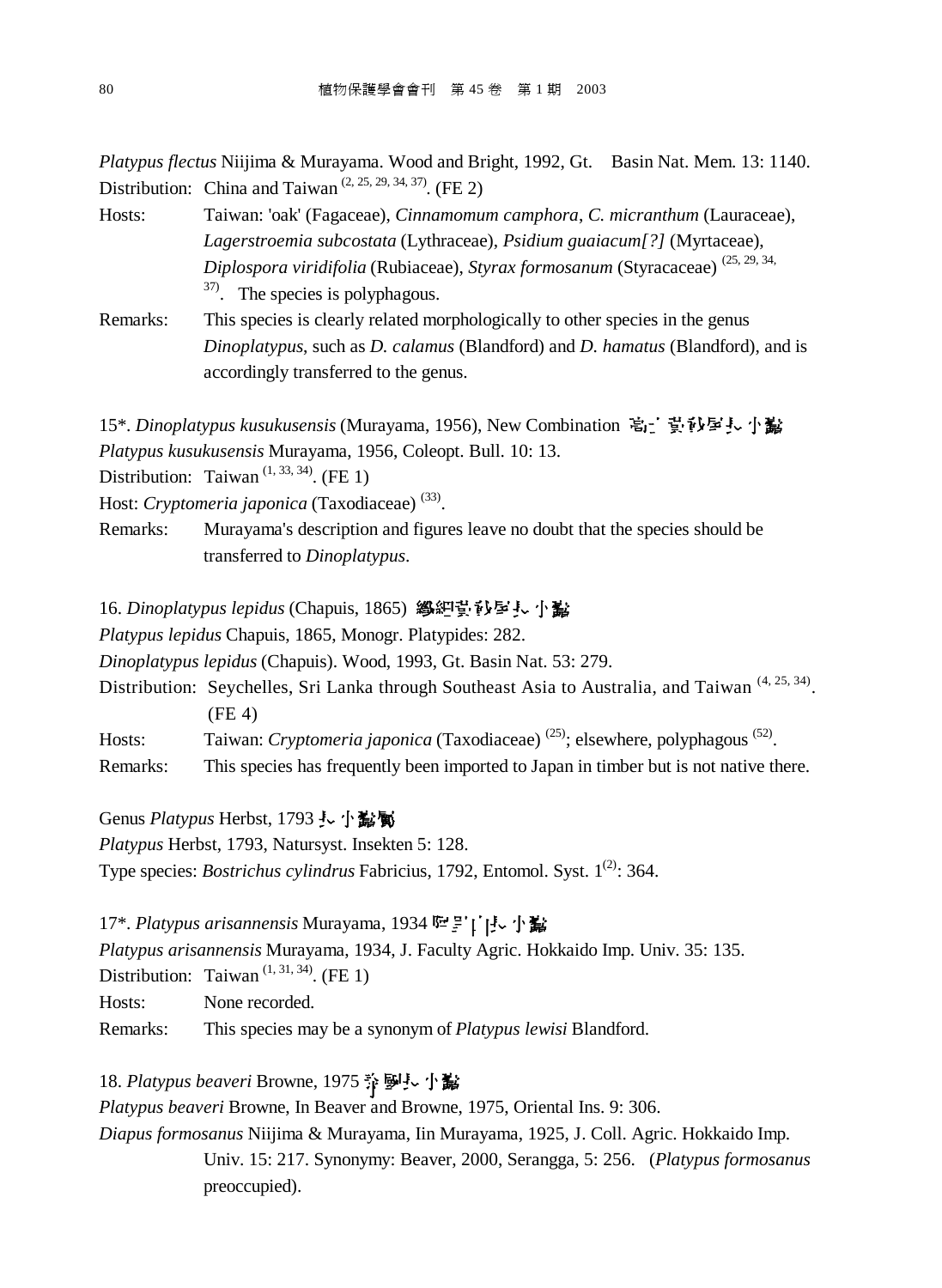*Platypus flectus* Niijima & Murayama. Wood and Bright, 1992, Gt. Basin Nat. Mem. 13: 1140. Distribution: China and Taiwan<sup> $(2, 25, 29, 34, 37)$ </sup>. (FE 2)

- Hosts: Taiwan: 'oak' (Fagaceae), *Cinnamomum camphora*, *C. micranthum* (Lauraceae), *Lagerstroemia subcostata* (Lythraceae), *Psidium guaiacum[?]* (Myrtaceae), *Diplospora viridifolia* (Rubiaceae), *Styrax formosanum* (Styracaceae) (25, 29, 34, <sup>37)</sup>. The species is polyphagous.
- Remarks: This species is clearly related morphologically to other species in the genus *Dinoplatypus*, such as *D. calamus* (Blandford) and *D. hamatus* (Blandford), and is accordingly transferred to the genus.

15\*. *Dinoplatypus kusukusensis* (Murayama, 1956), New Combination 高二 費秒早長小蠹 *Platypus kusukusensis* Murayama, 1956, Coleopt. Bull. 10: 13.

Distribution: Taiwan<sup> $(1, 33, 34)$ </sup>. (FE 1)

Host: *Cryptomeria japonica* (Taxodiaceae)<sup>(33)</sup>.

Remarks: Murayama's description and figures leave no doubt that the species should be transferred to *Dinoplatypus*.

16. *Dinoplatypus lepidus* (Chapuis, 1865) 總細費砂屋長小蠶

*Platypus lepidus* Chapuis, 1865, Monogr. Platypides: 282.

*Dinoplatypus lepidus* (Chapuis). Wood, 1993, Gt. Basin Nat. 53: 279.

Distribution: Seychelles, Sri Lanka through Southeast Asia to Australia, and Taiwan<sup>(4, 25, 34)</sup>. (FE 4)

Hosts: Taiwan: *Cryptomeria japonica* (Taxodiaceae)<sup>(25)</sup>; elsewhere, polyphagous<sup>(52)</sup>.

Remarks: This species has frequently been imported to Japan in timber but is not native there.

Genus *Platypus* Herbst, 1793 し小説閣

*Platypus* Herbst, 1793, Natursyst. Insekten 5: 128.

Type species: *Bostrichus cylindrus* Fabricius, 1792, Entomol. Syst. 1<sup>(2)</sup>: 364.

17<sup>\*</sup>. *Platypus arisannensis* Murayama, 1934 <sup>[</sup> **空** ]' [ **j···· j· 鬣** 

*Platypus arisannensis* Murayama, 1934, J. Faculty Agric. Hokkaido Imp. Univ. 35: 135.

Distribution: Taiwan<sup> $(1, 31, 34)$ </sup>. (FE 1)

Hosts: None recorded.

Remarks: This species may be a synonym of *Platypus lewisi* Blandford.

# 18. Platypus beaveri Browne, 1975 <a>
<sub><a>
1975<br/>  $\frac{1}{12}$ <br/> $\frac{1}{12}$ </sub>

*Platypus beaveri* Browne, In Beaver and Browne, 1975, Oriental Ins. 9: 306.

*Diapus formosanus* Niijima & Murayama, Iin Murayama, 1925, J. Coll. Agric. Hokkaido Imp. Univ. 15: 217. Synonymy: Beaver, 2000, Serangga, 5: 256. (*Platypus formosanus* preoccupied).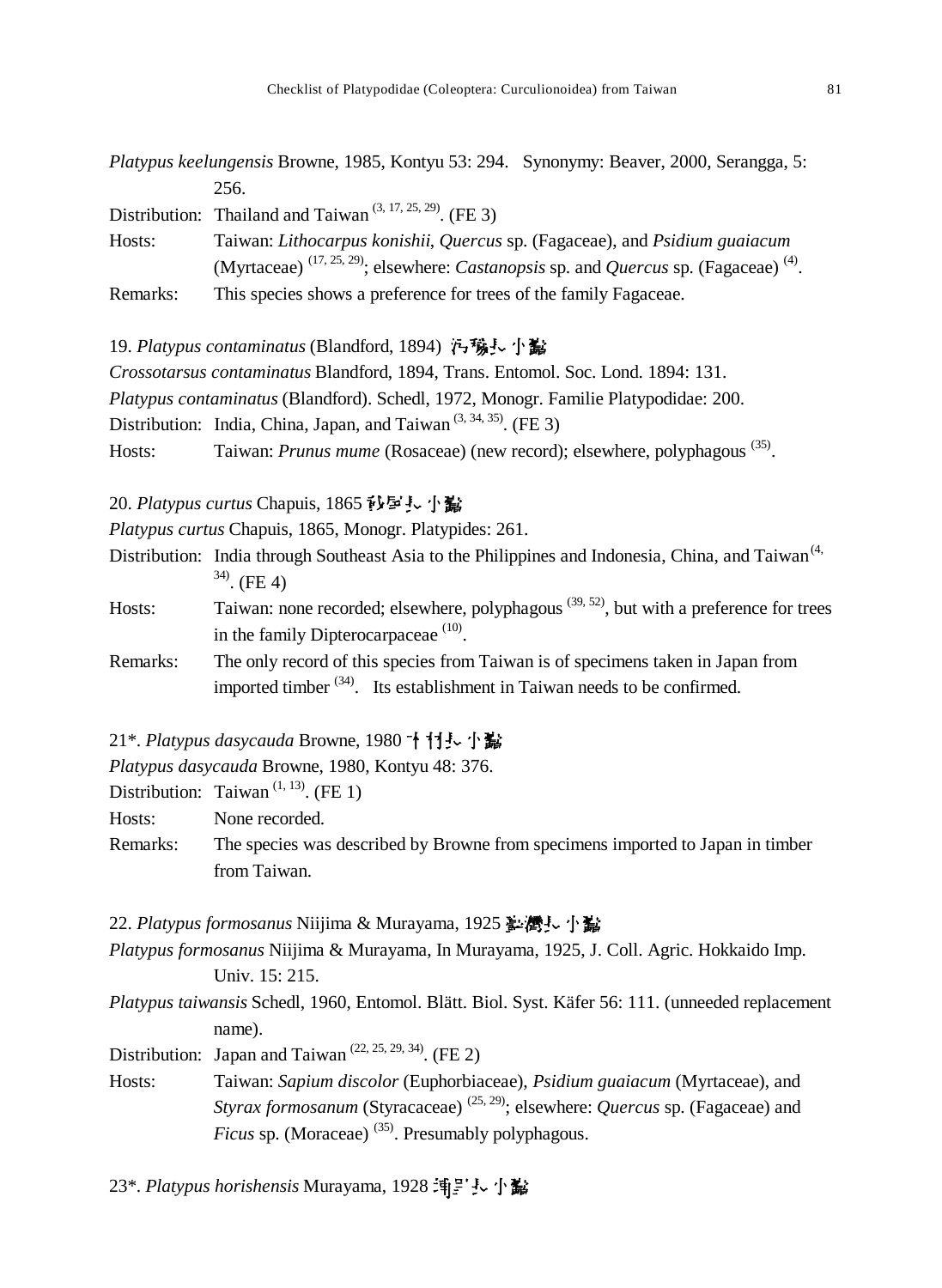| Platypus keelungensis Browne, 1985, Kontyu 53: 294. Synonymy: Beaver, 2000, Serangga, 5: |                                                                                                                            |
|------------------------------------------------------------------------------------------|----------------------------------------------------------------------------------------------------------------------------|
|                                                                                          | 256.                                                                                                                       |
|                                                                                          | Distribution: Thailand and Taiwan <sup><math>(3, 17, 25, 29)</math></sup> . (FE 3)                                         |
| Hosts:                                                                                   | Taiwan: Lithocarpus konishii, Quercus sp. (Fagaceae), and Psidium guaiacum                                                 |
|                                                                                          | (Myrtaceae) <sup>(17, 25, 29)</sup> ; elsewhere: <i>Castanopsis</i> sp. and <i>Quercus</i> sp. (Fagaceae) <sup>(4)</sup> . |
| Remarks:                                                                                 | This species shows a preference for trees of the family Fagaceae.                                                          |

19. Platypus contaminatus (Blandford, 1894) <del>內</del>穢長小盧

*Crossotarsus contaminatus* Blandford, 1894, Trans. Entomol. Soc. Lond. 1894: 131.

*Platypus contaminatus* (Blandford). Schedl, 1972, Monogr. Familie Platypodidae: 200.

Distribution: India, China, Japan, and Taiwan<sup> $(3, 34, 35)$ </sup>. (FE 3)

Hosts: Taiwan: *Prunus mume* (Rosaceae) (new record); elsewhere, polyphagous<sup>(35)</sup>.

20. Platypus curtus Chapuis, 1865 秒星長小點

*Platypus curtus* Chapuis, 1865, Monogr. Platypides: 261.

- Distribution: India through Southeast Asia to the Philippines and Indonesia, China, and Taiwan<sup>(4,</sup>  $34)$ . (FE 4)
- Hosts: Taiwan: none recorded; elsewhere, polyphagous  $(39, 52)$ , but with a preference for trees in the family Dipterocarpaceae  $(10)$ .
- Remarks: The only record of this species from Taiwan is of specimens taken in Japan from imported timber  $(34)$ . Its establishment in Taiwan needs to be confirmed.
- 21<sup>\*</sup>. *Platypus dasycauda* Browne, 1980 ↑ 打長 小鬍

*Platypus dasycauda* Browne, 1980, Kontyu 48: 376.

Distribution: Taiwan<sup> $(1, 13)$ </sup>. (FE 1)

Hosts: None recorded.

Remarks: The species was described by Browne from specimens imported to Japan in timber from Taiwan.

22. Platypus formosanus Niijima & Murayama, 1925 <u>を</u>灣長小鼠

*Platypus formosanus* Niijima & Murayama, In Murayama, 1925, J. Coll. Agric. Hokkaido Imp. Univ. 15: 215.

*Platypus taiwansis* Schedl, 1960, Entomol. Blätt. Biol. Syst. Käfer 56: 111. (unneeded replacement name).

Distribution: Japan and Taiwan<sup> $(22, 25, 29, 34)$ </sup>. (FE 2)

Hosts: Taiwan: *Sapium discolor* (Euphorbiaceae), *Psidium guaiacum* (Myrtaceae), and *Styrax formosanum* (Styracaceae) (25, 29) ; elsewhere: *Quercus* sp. (Fagaceae) and *Ficus* sp. (Moraceae)<sup>(35)</sup>. Presumably polyphagous.

23\*. Platypus horishensis Murayama, 1928 [1]:<sup>1</sup>j. 小鷸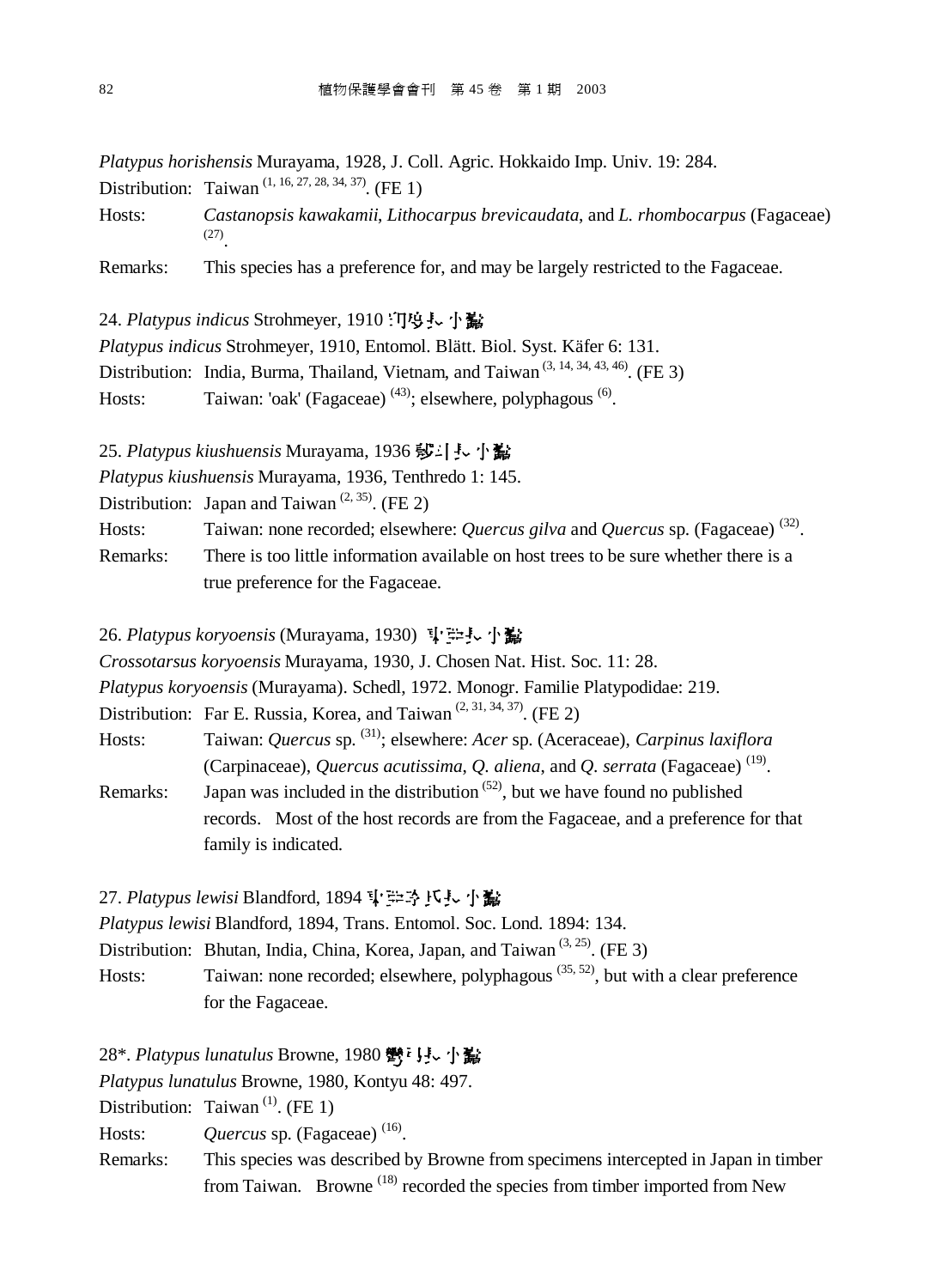*Platypus horishensis* Murayama, 1928, J. Coll. Agric. Hokkaido Imp. Univ. 19: 284.

Distribution: Taiwan<sup>(1, 16, 27, 28, 34, 37)</sup>. (FE 1)

Hosts: *Castanopsis kawakamii*, *Lithocarpus brevicaudata*, and *L. rhombocarpus* (Fagaceae) (27) .

Remarks: This species has a preference for, and may be largely restricted to the Fagaceae.

24. Platypus indicus Strohmeyer, 1910 门坞县小隘

*Platypus indicus* Strohmeyer, 1910, Entomol. Blätt. Biol. Syst. Käfer 6: 131.

Distribution: India, Burma, Thailand, Vietnam, and Taiwan<sup> $(3, 14, 34, 43, 46)$ . (FE 3)</sup>

Hosts: Taiwan: 'oak' (Fagaceae)  $(43)$ ; elsewhere, polyphagous  $(6)$ .

25. Platypus kiushuensis Murayama, 1936 莎·[·· 小鬣

*Platypus kiushuensis* Murayama, 1936, Tenthredo 1: 145.

Distribution: Japan and Taiwan<sup> $(2, 35)$ </sup>. (FE 2)

Hosts: Taiwan: none recorded; elsewhere: *Quercus gilva* and *Quercus* sp. (Fagaceae)<sup>(32)</sup>.

Remarks: There is too little information available on host trees to be sure whether there is a true preference for the Fagaceae.

26. Platypus koryoensis (Murayama, 1930) **!空長小島** 

*Crossotarsus koryoensis* Murayama, 1930, J. Chosen Nat. Hist. Soc. 11: 28.

*Platypus koryoensis* (Murayama). Schedl, 1972. Monogr. Familie Platypodidae: 219.

Distribution: Far E. Russia, Korea, and Taiwan<sup> $(2, 31, 34, 37)$ </sup>. (FE 2)

Hosts: Taiwan: *Quercus* sp. <sup>(31)</sup>; elsewhere: *Acer* sp. (Aceraceae), *Carpinus laxiflora* (Carpinaceae), *Quercus acutissima*, *Q. aliena*, and *Q. serrata* (Fagaceae) (19) .

Remarks: Japan was included in the distribution  $(52)$ , but we have found no published records. Most of the host records are from the Fagaceae, and a preference for that family is indicated.

27. Platypus lewisi Blandford, 1894 <sup>【</sup>注予氏表小説

*Platypus lewisi* Blandford, 1894, Trans. Entomol. Soc. Lond. 1894: 134.

Distribution: Bhutan, India, China, Korea, Japan, and Taiwan<sup> $(3, 25)$ </sup>. (FE 3)

Hosts: Taiwan: none recorded; elsewhere, polyphagous<sup>(35, 52)</sup>, but with a clear preference for the Fagaceae.

28\*. Platypus lunatulus Browne, 1980 鬱『見、小鷭

*Platypus lunatulus* Browne, 1980, Kontyu 48: 497.

Distribution: Taiwan<sup>(1)</sup>. (FE 1)

Hosts: Quercus sp. (Fagaceae)<sup>(16)</sup>.

Remarks: This species was described by Browne from specimens intercepted in Japan in timber from Taiwan. Browne<sup>(18)</sup> recorded the species from timber imported from New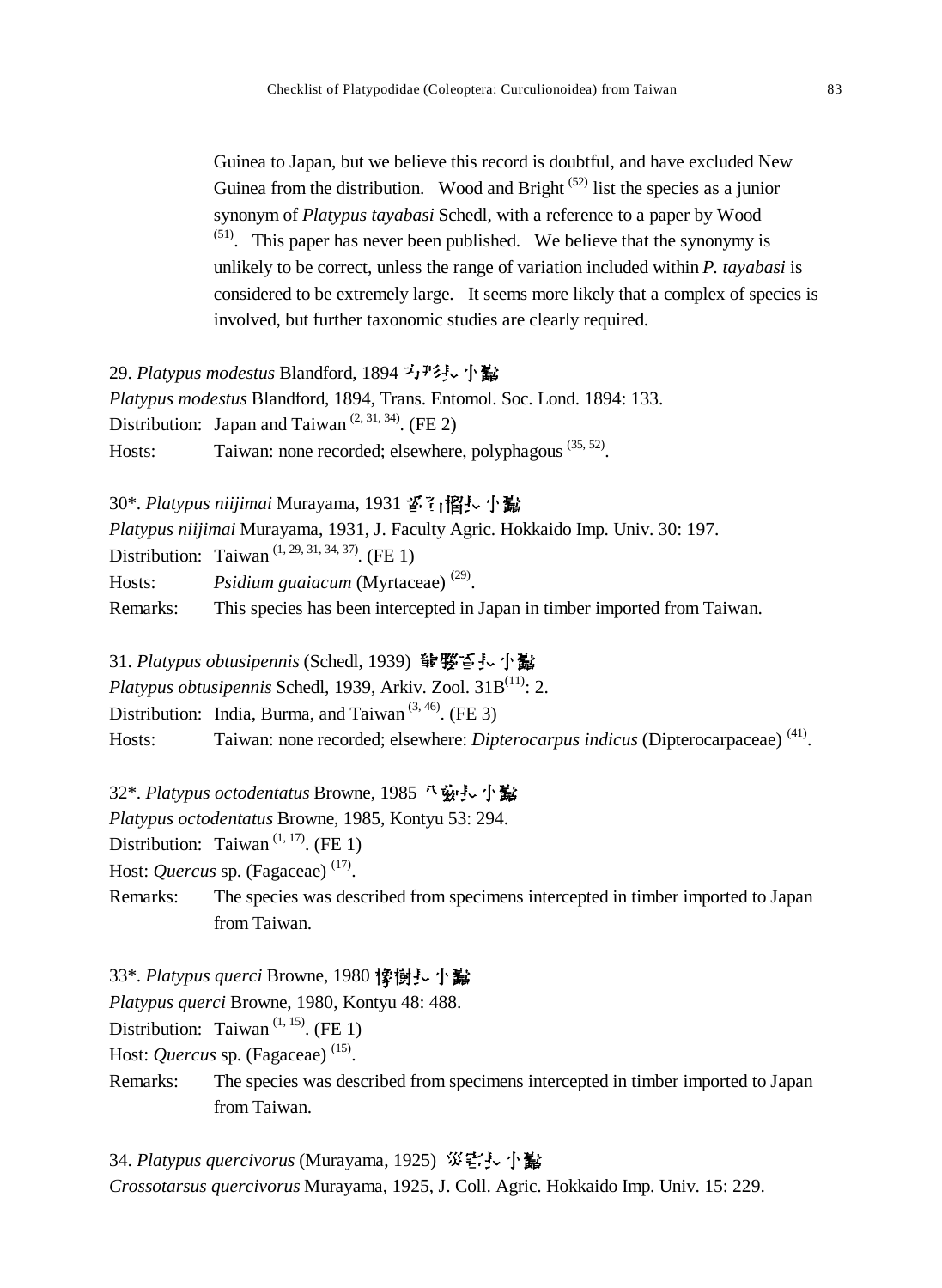Guinea to Japan, but we believe this record is doubtful, and have excluded New Guinea from the distribution. Wood and Bright  $(52)$  list the species as a junior synonym of *Platypus tayabasi* Schedl, with a reference to a paper by Wood  $(51)$ . This paper has never been published. We believe that the synonymy is unlikely to be correct, unless the range of variation included within *P. tayabasi* is considered to be extremely large. It seems more likely that a complex of species is involved, but further taxonomic studies are clearly required.

29. Platypus modestus Blandford, 1894 <sup>プ</sup>ェアシート *Platypus modestus* Blandford, 1894, Trans. Entomol. Soc. Lond. 1894: 133. Distribution: Japan and Taiwan<sup> $(2, 31, 34)$ </sup>. (FE 2) Hosts: Taiwan: none recorded; elsewhere, polyphagous<sup>(35, 52)</sup>.

30\*. Platypus niijimai Murayama, 1931 舀?」 慆!~ 小鷸 *Platypus niijimai* Murayama, 1931, J. Faculty Agric. Hokkaido Imp. Univ. 30: 197. Distribution: Taiwan<sup> $(1, 29, 31, 34, 37)$ </sup>. (FE 1) Hosts: *Psidium guaiacum* (Myrtaceae)<sup>(29)</sup>. Remarks: This species has been intercepted in Japan in timber imported from Taiwan.

31. *Platypus obtusipennis* (Schedl, 1939) **쁳 ꑰ엻** *Platypus obtusipennis* Schedl, 1939, Arkiv. Zool. 31B<sup>(11)</sup>: 2. Distribution: India, Burma, and Taiwan<sup> $(3, 46)$ </sup>. (FE 3)

Hosts: Taiwan: none recorded; elsewhere: *Dipterocarpus indicus* (Dipterocarpaceae)<sup>(41)</sup>.

32<sup>\*</sup>. *Platypus octodentatus* Browne, 1985 *飞* 索卡·小蠹

*Platypus octodentatus* Browne, 1985, Kontyu 53: 294.

Distribution: Taiwan<sup> $(1, 17)$ </sup>. (FE 1)

Host: *Quercus* sp. (Fagaceae)<sup>(17)</sup>.

Remarks: The species was described from specimens intercepted in timber imported to Japan from Taiwan.

33\*. Platypus querci Browne, 1980 像樹長小 *Platypus querci* Browne, 1980, Kontyu 48: 488. Distribution: Taiwan<sup> $(1, 15)$ </sup>. (FE 1) Host: *Quercus* sp. (Fagaceae)<sup>(15)</sup>. Remarks: The species was described from specimens intercepted in timber imported to Japan from Taiwan.

34. Platypus quercivorus (Murayama, 1925) 災害長小蠹 *Crossotarsus quercivorus* Murayama, 1925, J. Coll. Agric. Hokkaido Imp. Univ. 15: 229.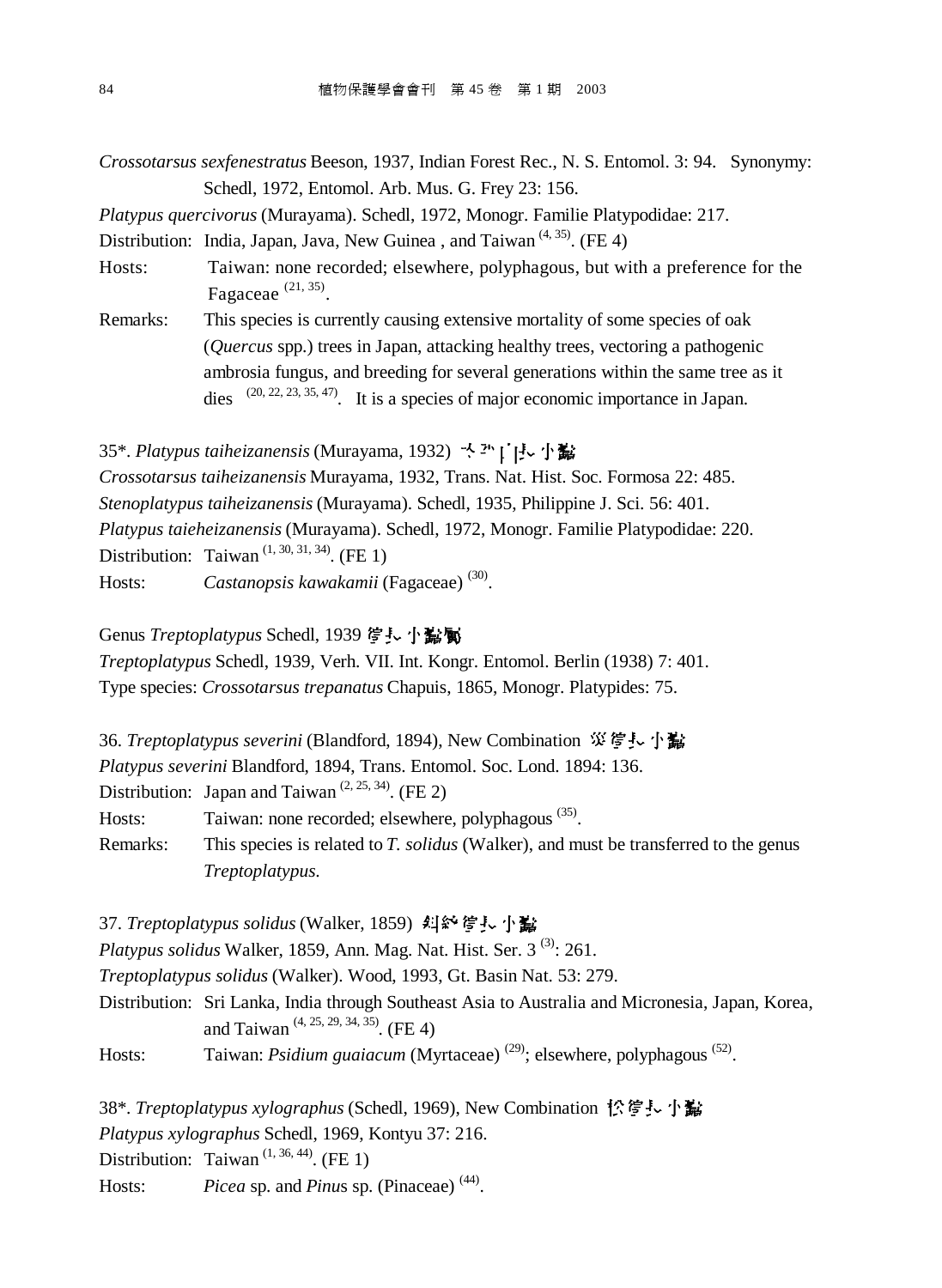*Crossotarsus sexfenestratus* Beeson, 1937, Indian Forest Rec., N. S. Entomol. 3: 94. Synonymy: Schedl, 1972, Entomol. Arb. Mus. G. Frey 23: 156.

*Platypus quercivorus* (Murayama). Schedl, 1972, Monogr. Familie Platypodidae: 217.

Distribution: India, Japan, Java, New Guinea, and Taiwan<sup> $(4, 35)$ </sup>. (FE 4)

Hosts: Taiwan: none recorded; elsewhere, polyphagous, but with a preference for the Fagaceae  $(21, 35)$ .

Remarks: This species is currently causing extensive mortality of some species of oak (*Quercus* spp.) trees in Japan, attacking healthy trees, vectoring a pathogenic ambrosia fungus, and breeding for several generations within the same tree as it dies  $(20, 22, 23, 35, 47)$ . It is a species of major economic importance in Japan.

35\*. Platypus taiheizanensis (Murayama, 1932) <sup>人과</sup>[「!」 小鷸

*Crossotarsus taiheizanensis* Murayama, 1932, Trans. Nat. Hist. Soc. Formosa 22: 485. *Stenoplatypus taiheizanensis* (Murayama). Schedl, 1935, Philippine J. Sci. 56: 401. *Platypus taieheizanensis* (Murayama). Schedl, 1972, Monogr. Familie Platypodidae: 220. Distribution: Taiwan<sup> $(1, 30, 31, 34)$ </sup>. (FE 1) Hosts: *Castanopsis kawakamii* (Fagaceae) <sup>(30)</sup>.

Genus *Treptoplatypus* Schedl, 1939 *惶*長小點屬

*Treptoplatypus* Schedl, 1939, Verh. VII. Int. Kongr. Entomol. Berlin (1938) 7: 401. Type species: *Crossotarsus trepanatus* Chapuis, 1865, Monogr. Platypides: 75.

36. *Treptoplatypus severini* (Blandford, 1894), New Combination 災管長小蠹 *Platypus severini* Blandford, 1894, Trans. Entomol. Soc. Lond. 1894: 136. Distribution: Japan and Taiwan<sup> $(2, 25, 34)$ </sup>. (FE 2) Hosts: Taiwan: none recorded; elsewhere, polyphagous<sup>(35)</sup>. Remarks: This species is related to *T. solidus* (Walker), and must be transferred to the genus *Treptoplatypus*.

37. Treptoplatypus solidus (Walker, 1859) 纠給管長小鬣 *Platypus solidus* Walker, 1859, Ann. Mag. Nat. Hist. Ser. 3<sup>(3)</sup>: 261. *Treptoplatypus solidus* (Walker). Wood, 1993, Gt. Basin Nat. 53: 279. Distribution: Sri Lanka, India through Southeast Asia to Australia and Micronesia, Japan, Korea, and Taiwan<sup>(4, 25, 29, 34, 35)</sup>. (FE 4) Hosts: Taiwan: *Psidium guaiacum* (Myrtaceae)<sup>(29)</sup>; elsewhere, polyphagous<sup>(52)</sup>.

38\*. *Treptoplatypus xylographus* (Schedl, 1969), New Combination 忪穹廴小蠹 *Platypus xylographus* Schedl, 1969, Kontyu 37: 216. Distribution: Taiwan<sup> $(1, 36, 44)$ </sup>. (FE 1) Hosts: *Picea* sp. and *Pinus* sp. (Pinaceae)<sup>(44)</sup>.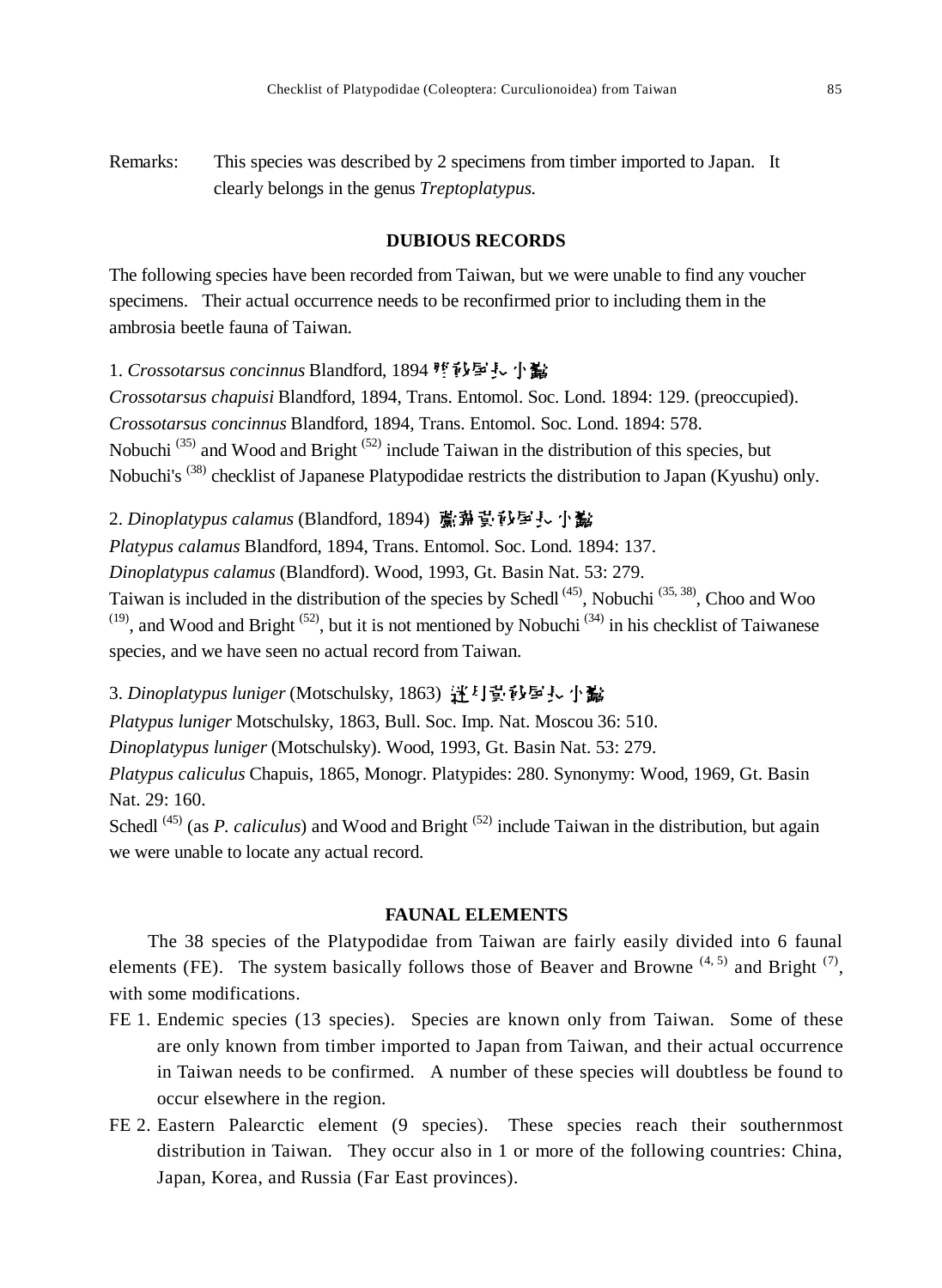Remarks: This species was described by 2 specimens from timber imported to Japan. It clearly belongs in the genus *Treptoplatypus*.

#### **DUBIOUS RECORDS**

The following species have been recorded from Taiwan, but we were unable to find any voucher specimens. Their actual occurrence needs to be reconfirmed prior to including them in the ambrosia beetle fauna of Taiwan.

### 1. *Crossotarsus concinnus* Blandford, 1894 堕砂屋長小髷

*Crossotarsus chapuisi* Blandford, 1894, Trans. Entomol. Soc. Lond. 1894: 129. (preoccupied). *Crossotarsus concinnus* Blandford, 1894, Trans. Entomol. Soc. Lond. 1894: 578. Nobuchi<sup>(35)</sup> and Wood and Bright<sup>(52)</sup> include Taiwan in the distribution of this species, but Nobuchi's <sup>(38)</sup> checklist of Japanese Platypodidae restricts the distribution to Japan (Kyushu) only.

## 2. *Dinoplatypus calamus* (Blandford, 1894) 置卦豈砂厚し小髷

*Platypus calamus* Blandford, 1894, Trans. Entomol. Soc. Lond. 1894: 137.

*Dinoplatypus calamus* (Blandford). Wood, 1993, Gt. Basin Nat. 53: 279.

Taiwan is included in the distribution of the species by Schedl<sup> $(45)$ </sup>, Nobuchi<sup> $(35, 38)$ </sup>, Choo and Woo  $(19)$ , and Wood and Bright  $(52)$ , but it is not mentioned by Nobuchi  $(34)$  in his checklist of Taiwanese species, and we have seen no actual record from Taiwan.

#### 3. *Dinoplatypus luniger* (Motschulsky, 1863) 迁<sup>1</sup> 堂印写長 小蠹

*Platypus luniger* Motschulsky, 1863, Bull. Soc. Imp. Nat. Moscou 36: 510.

*Dinoplatypus luniger* (Motschulsky). Wood, 1993, Gt. Basin Nat. 53: 279.

*Platypus caliculus* Chapuis, 1865, Monogr. Platypides: 280. Synonymy: Wood, 1969, Gt. Basin Nat. 29: 160.

Schedl<sup>(45)</sup> (as *P. caliculus*) and Wood and Bright<sup>(52)</sup> include Taiwan in the distribution, but again we were unable to locate any actual record.

## **FAUNAL ELEMENTS**

The 38 species of the Platypodidae from Taiwan are fairly easily divided into 6 faunal elements (FE). The system basically follows those of Beaver and Browne<sup>(4, 5)</sup> and Bright<sup>(7)</sup>, with some modifications.

- FE 1. Endemic species (13 species). Species are known only from Taiwan. Some of these are only known from timber imported to Japan from Taiwan, and their actual occurrence in Taiwan needs to be confirmed. A number of these species will doubtless be found to occur elsewhere in the region.
- FE 2. Eastern Palearctic element (9 species). These species reach their southernmost distribution in Taiwan. They occur also in 1 or more of the following countries: China, Japan, Korea, and Russia (Far East provinces).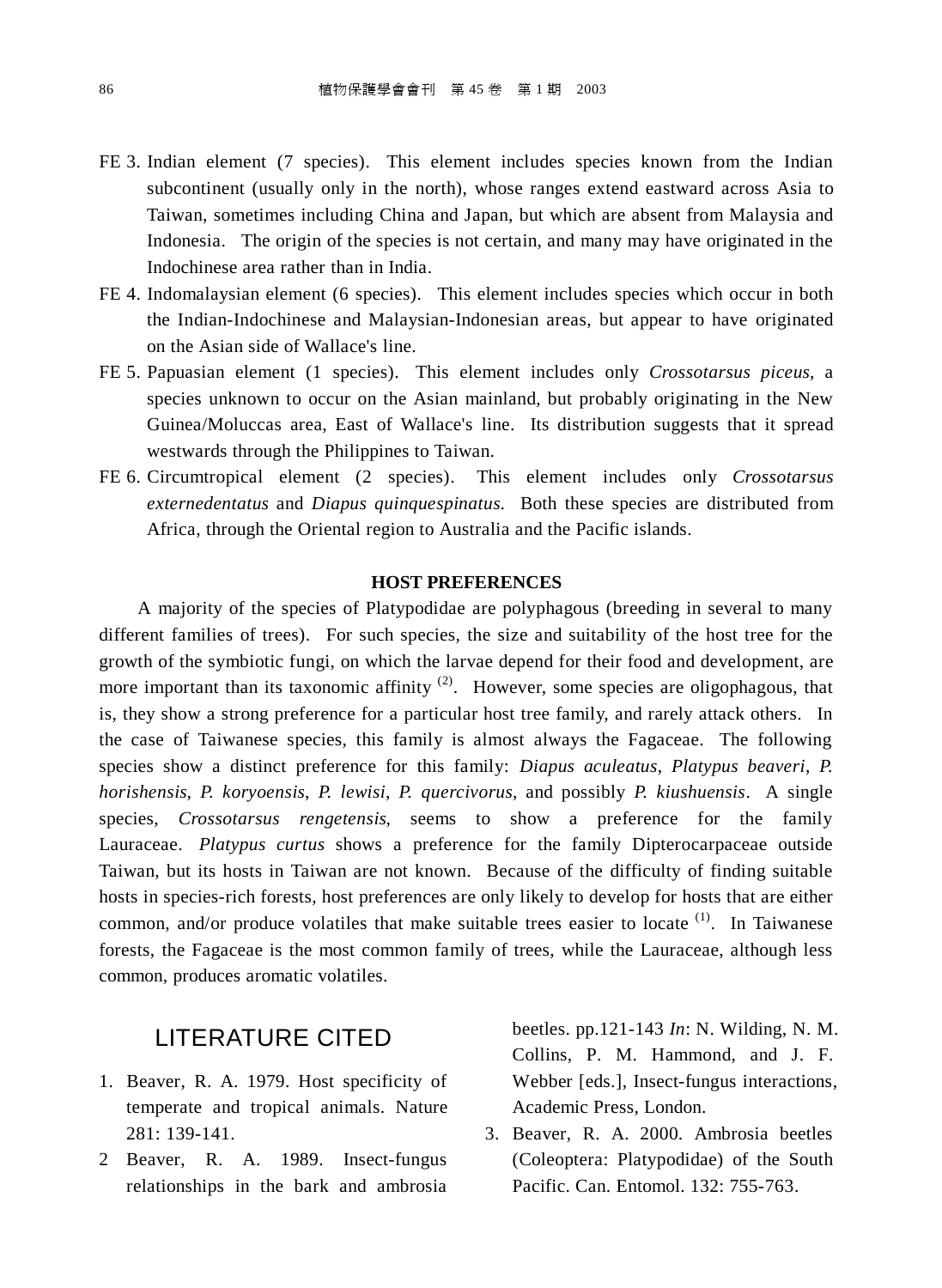- FE 3. Indian element (7 species). This element includes species known from the Indian subcontinent (usually only in the north), whose ranges extend eastward across Asia to Taiwan, sometimes including China and Japan, but which are absent from Malaysia and Indonesia. The origin of the species is not certain, and many may have originated in the Indochinese area rather than in India.
- FE 4. Indomalaysian element (6 species). This element includes species which occur in both the Indian-Indochinese and Malaysian-Indonesian areas, but appear to have originated on the Asian side of Wallace's line.
- FE 5. Papuasian element (1 species). This element includes only *Crossotarsus piceus*, a species unknown to occur on the Asian mainland, but probably originating in the New Guinea/Moluccas area, East of Wallace's line. Its distribution suggests that it spread westwards through the Philippines to Taiwan.
- FE 6. Circumtropical element (2 species). This element includes only *Crossotarsus externedentatus* and *Diapus quinquespinatus*. Both these species are distributed from Africa, through the Oriental region to Australia and the Pacific islands.

#### **HOST PREFERENCES**

A majority of the species of Platypodidae are polyphagous (breeding in several to many different families of trees). For such species, the size and suitability of the host tree for the growth of the symbiotic fungi, on which the larvae depend for their food and development, are more important than its taxonomic affinity  $(2)$ . However, some species are oligophagous, that is, they show a strong preference for a particular host tree family, and rarely attack others. In the case of Taiwanese species, this family is almost always the Fagaceae. The following species show a distinct preference for this family: *Diapus aculeatus*, *Platypus beaveri*, *P. horishensis*, *P. koryoensis*, *P. lewisi*, *P. quercivorus*, and possibly *P. kiushuensis*. A single species, *Crossotarsus rengetensis*, seems to show a preference for the family Lauraceae. *Platypus curtus* shows a preference for the family Dipterocarpaceae outside Taiwan, but its hosts in Taiwan are not known. Because of the difficulty of finding suitable hosts in species-rich forests, host preferences are only likely to develop for hosts that are either common, and/or produce volatiles that make suitable trees easier to locate  $(1)$ . In Taiwanese forests, the Fagaceae is the most common family of trees, while the Lauraceae, although less common, produces aromatic volatiles.

# LITERATURE CITED

- 1. Beaver, R. A. 1979. Host specificity of temperate and tropical animals. Nature 281: 139-141.
- 2 Beaver, R. A. 1989. Insect-fungus relationships in the bark and ambrosia

beetles. pp.121-143 *In*: N. Wilding, N. M. Collins, P. M. Hammond, and J. F. Webber [eds.], Insect-fungus interactions, Academic Press, London.

3. Beaver, R. A. 2000. Ambrosia beetles (Coleoptera: Platypodidae) of the South Pacific. Can. Entomol. 132: 755-763.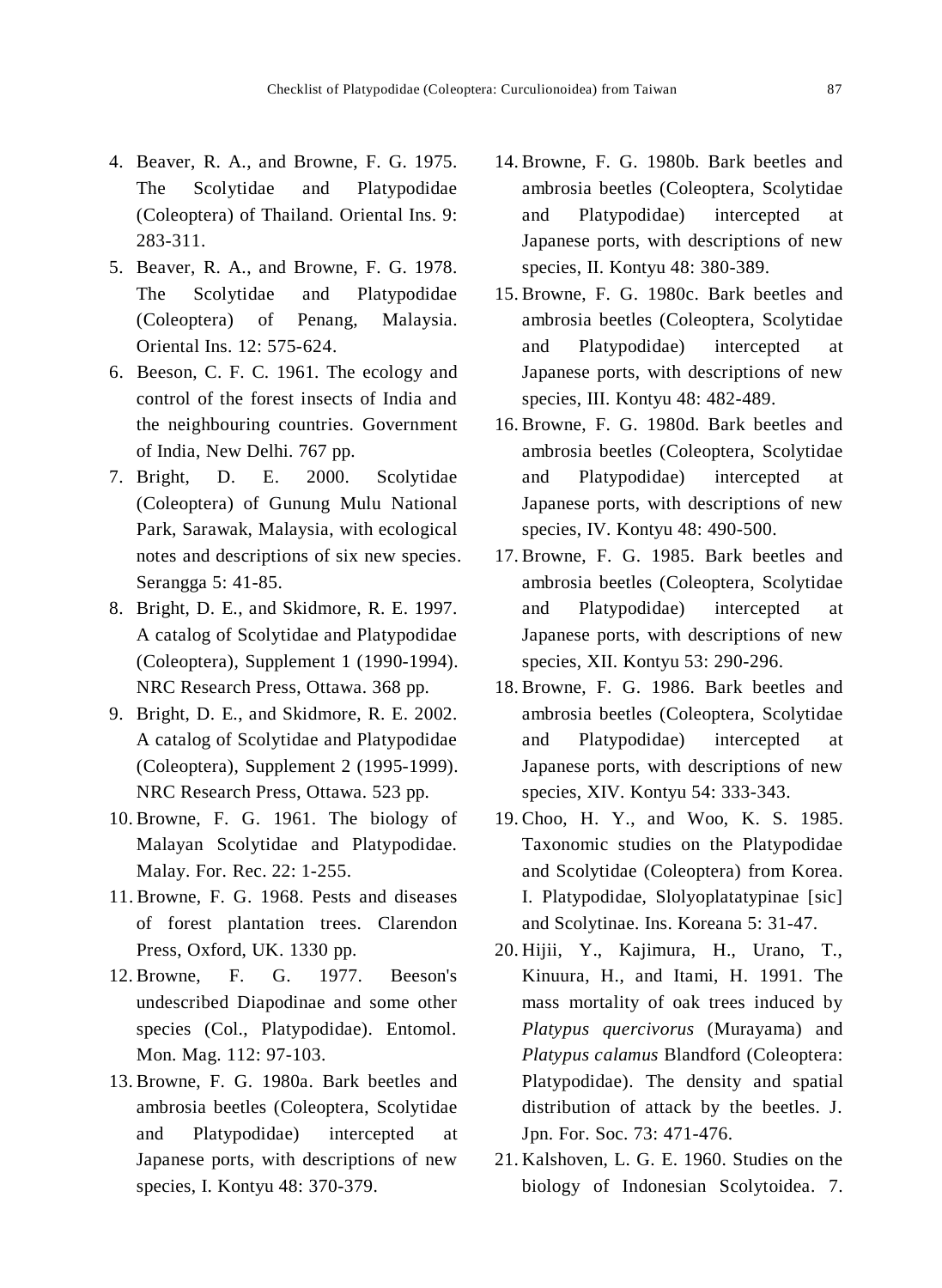- 4. Beaver, R. A., and Browne, F. G. 1975. The Scolytidae and Platypodidae (Coleoptera) of Thailand. Oriental Ins. 9: 283-311.
- 5. Beaver, R. A., and Browne, F. G. 1978. The Scolytidae and Platypodidae (Coleoptera) of Penang, Malaysia. Oriental Ins. 12: 575-624.
- 6. Beeson, C. F. C. 1961. The ecology and control of the forest insects of India and the neighbouring countries. Government of India, New Delhi. 767 pp.
- 7. Bright, D. E. 2000. Scolytidae (Coleoptera) of Gunung Mulu National Park, Sarawak, Malaysia, with ecological notes and descriptions of six new species. Serangga 5: 41-85.
- 8. Bright, D. E., and Skidmore, R. E. 1997. A catalog of Scolytidae and Platypodidae (Coleoptera), Supplement 1 (1990-1994). NRC Research Press, Ottawa. 368 pp.
- 9. Bright, D. E., and Skidmore, R. E. 2002. A catalog of Scolytidae and Platypodidae (Coleoptera), Supplement 2 (1995-1999). NRC Research Press, Ottawa. 523 pp.
- 10. Browne, F. G. 1961. The biology of Malayan Scolytidae and Platypodidae. Malay. For. Rec. 22: 1-255.
- 11. Browne, F. G. 1968. Pests and diseases of forest plantation trees. Clarendon Press, Oxford, UK. 1330 pp.
- 12. Browne, F. G. 1977. Beeson's undescribed Diapodinae and some other species (Col., Platypodidae). Entomol. Mon. Mag. 112: 97-103.
- 13. Browne, F. G. 1980a. Bark beetles and ambrosia beetles (Coleoptera, Scolytidae and Platypodidae) intercepted at Japanese ports, with descriptions of new species, I. Kontyu 48: 370-379.
- 14. Browne, F. G. 1980b. Bark beetles and ambrosia beetles (Coleoptera, Scolytidae and Platypodidae) intercepted at Japanese ports, with descriptions of new species, II. Kontyu 48: 380-389.
- 15. Browne, F. G. 1980c. Bark beetles and ambrosia beetles (Coleoptera, Scolytidae and Platypodidae) intercepted at Japanese ports, with descriptions of new species, III. Kontyu 48: 482-489.
- 16. Browne, F. G. 1980d. Bark beetles and ambrosia beetles (Coleoptera, Scolytidae and Platypodidae) intercepted at Japanese ports, with descriptions of new species, IV. Kontyu 48: 490-500.
- 17. Browne, F. G. 1985. Bark beetles and ambrosia beetles (Coleoptera, Scolytidae and Platypodidae) intercepted at Japanese ports, with descriptions of new species, XII. Kontyu 53: 290-296.
- 18. Browne, F. G. 1986. Bark beetles and ambrosia beetles (Coleoptera, Scolytidae and Platypodidae) intercepted at Japanese ports, with descriptions of new species, XIV. Kontyu 54: 333-343.
- 19. Choo, H. Y., and Woo, K. S. 1985. Taxonomic studies on the Platypodidae and Scolytidae (Coleoptera) from Korea. I. Platypodidae, Slolyoplatatypinae [sic] and Scolytinae. Ins. Koreana 5: 31-47.
- 20. Hijii, Y., Kajimura, H., Urano, T., Kinuura, H., and Itami, H. 1991. The mass mortality of oak trees induced by *Platypus quercivorus* (Murayama) and *Platypus calamus* Blandford (Coleoptera: Platypodidae). The density and spatial distribution of attack by the beetles. J. Jpn. For. Soc. 73: 471-476.
- 21. Kalshoven, L. G. E. 1960. Studies on the biology of Indonesian Scolytoidea. 7.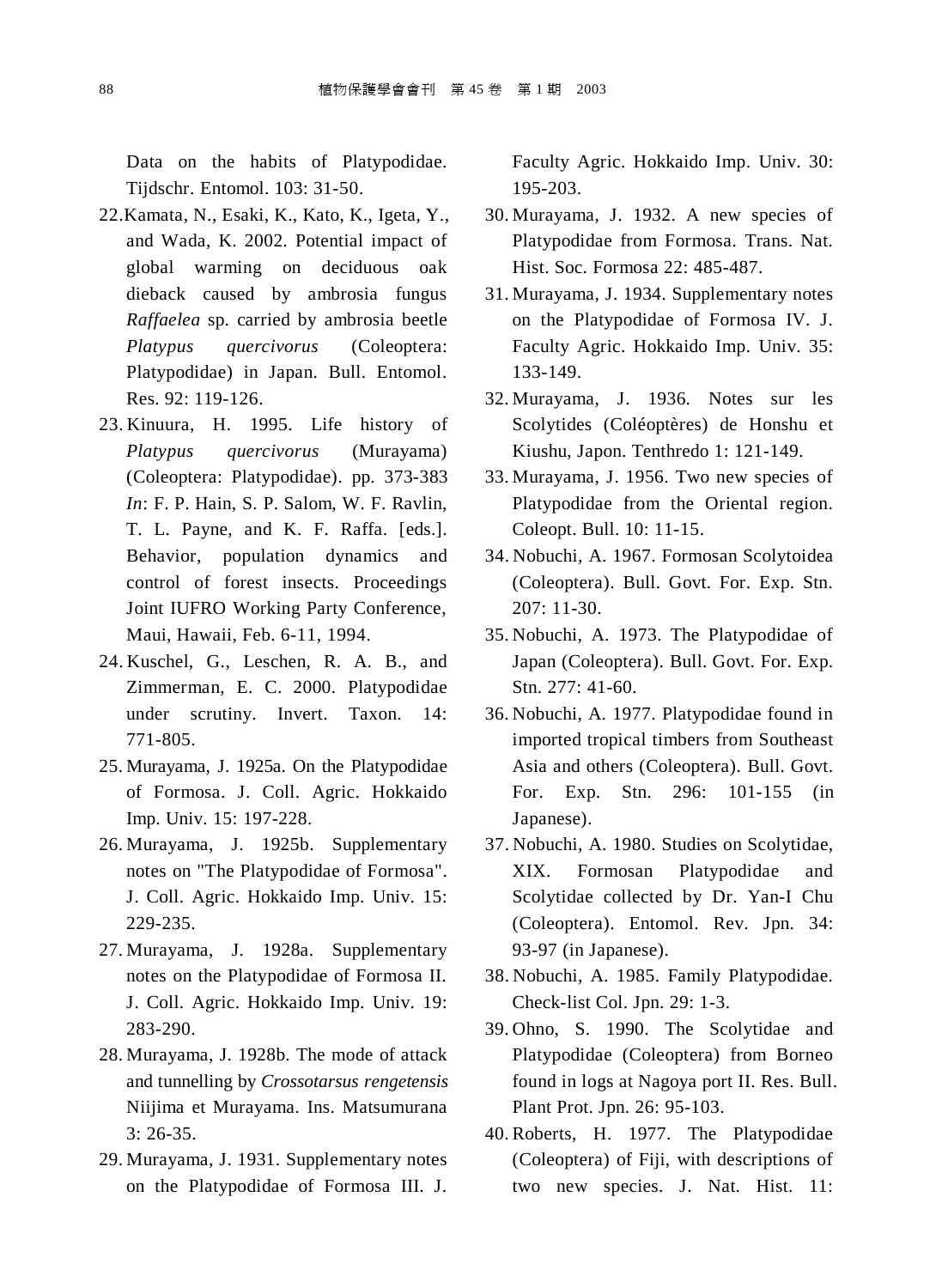Data on the habits of Platypodidae. Tijdschr. Entomol. 103: 31-50.

- 22.Kamata, N., Esaki, K., Kato, K., Igeta, Y., and Wada, K. 2002. Potential impact of global warming on deciduous oak dieback caused by ambrosia fungus *Raffaelea* sp. carried by ambrosia beetle *Platypus quercivorus* (Coleoptera: Platypodidae) in Japan. Bull. Entomol. Res. 92: 119-126.
- 23. Kinuura, H. 1995. Life history of *Platypus quercivorus* (Murayama) (Coleoptera: Platypodidae). pp. 373-383 *In*: F. P. Hain, S. P. Salom, W. F. Ravlin, T. L. Payne, and K. F. Raffa. [eds.]. Behavior, population dynamics and control of forest insects. Proceedings Joint IUFRO Working Party Conference, Maui, Hawaii, Feb. 6-11, 1994.
- 24. Kuschel, G., Leschen, R. A. B., and Zimmerman, E. C. 2000. Platypodidae under scrutiny. Invert. Taxon. 14: 771-805.
- 25. Murayama, J. 1925a. On the Platypodidae of Formosa. J. Coll. Agric. Hokkaido Imp. Univ. 15: 197-228.
- 26. Murayama, J. 1925b. Supplementary notes on "The Platypodidae of Formosa". J. Coll. Agric. Hokkaido Imp. Univ. 15: 229-235.
- 27. Murayama, J. 1928a. Supplementary notes on the Platypodidae of Formosa II. J. Coll. Agric. Hokkaido Imp. Univ. 19: 283-290.
- 28. Murayama, J. 1928b. The mode of attack and tunnelling by *Crossotarsus rengetensis* Niijima et Murayama. Ins. Matsumurana 3: 26-35.
- 29. Murayama, J. 1931. Supplementary notes on the Platypodidae of Formosa III. J.

Faculty Agric. Hokkaido Imp. Univ. 30: 195-203.

- 30. Murayama, J. 1932. A new species of Platypodidae from Formosa. Trans. Nat. Hist. Soc. Formosa 22: 485-487.
- 31. Murayama, J. 1934. Supplementary notes on the Platypodidae of Formosa IV. J. Faculty Agric. Hokkaido Imp. Univ. 35: 133-149.
- 32. Murayama, J. 1936. Notes sur les Scolytides (Coléoptères) de Honshu et Kiushu, Japon. Tenthredo 1: 121-149.
- 33. Murayama, J. 1956. Two new species of Platypodidae from the Oriental region. Coleopt. Bull. 10: 11-15.
- 34. Nobuchi, A. 1967. Formosan Scolytoidea (Coleoptera). Bull. Govt. For. Exp. Stn.  $207:11-30.$
- 35. Nobuchi, A. 1973. The Platypodidae of Japan (Coleoptera). Bull. Govt. For. Exp. Stn. 277: 41-60.
- 36. Nobuchi, A. 1977. Platypodidae found in imported tropical timbers from Southeast Asia and others (Coleoptera). Bull. Govt. For. Exp. Stn. 296: 101-155 (in Japanese).
- 37. Nobuchi, A. 1980. Studies on Scolytidae, XIX. Formosan Platypodidae and Scolytidae collected by Dr. Yan-I Chu (Coleoptera). Entomol. Rev. Jpn. 34: 93-97 (in Japanese).
- 38. Nobuchi, A. 1985. Family Platypodidae. Check-list Col. Jpn. 29: 1-3.
- 39. Ohno, S. 1990. The Scolytidae and Platypodidae (Coleoptera) from Borneo found in logs at Nagoya port II. Res. Bull. Plant Prot. Jpn. 26: 95-103.
- 40. Roberts, H. 1977. The Platypodidae (Coleoptera) of Fiji, with descriptions of two new species. J. Nat. Hist. 11: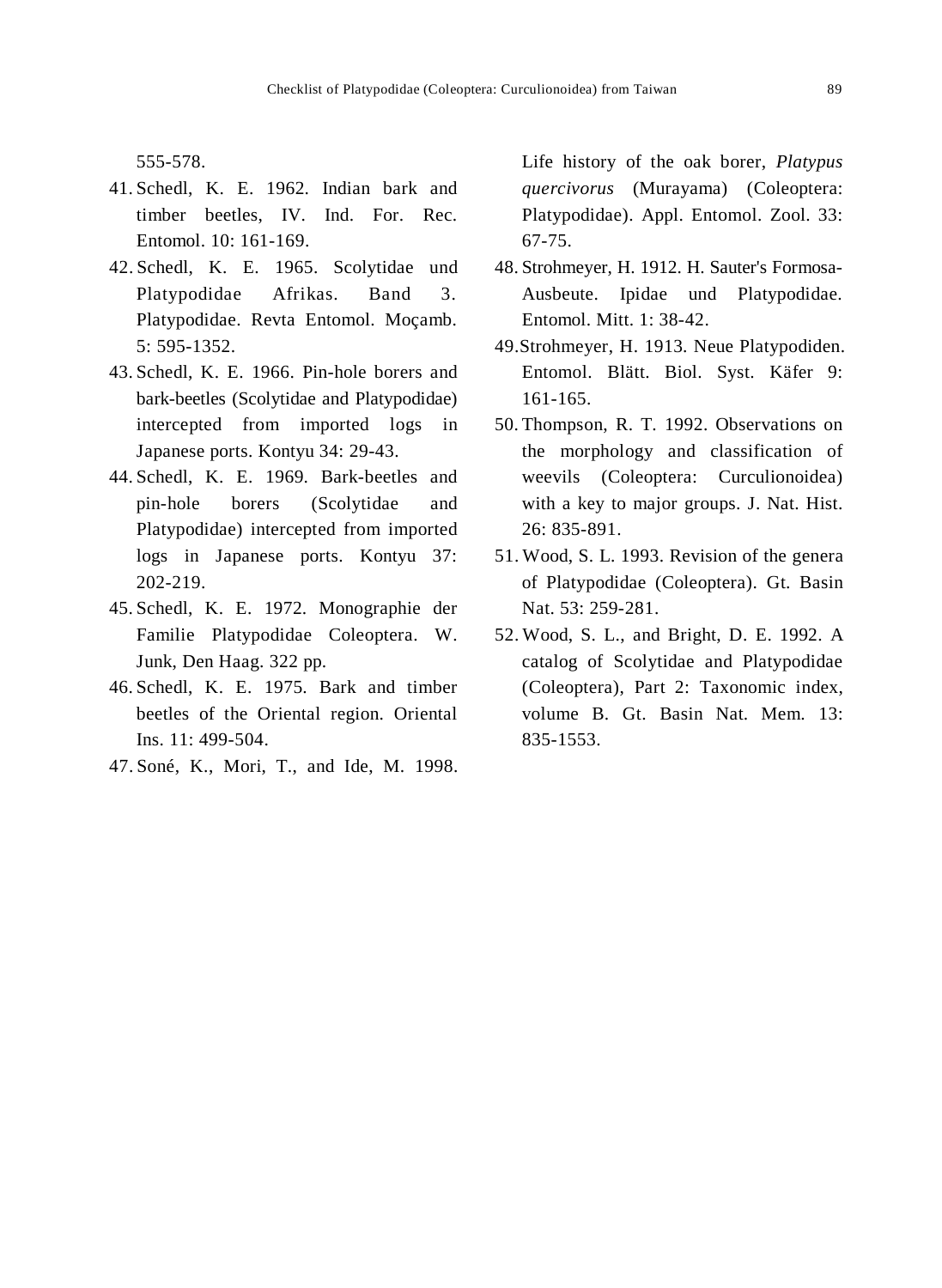555-578.

- 41. Schedl, K. E. 1962. Indian bark and timber beetles, IV. Ind. For. Rec. Entomol. 10: 161-169.
- 42. Schedl, K. E. 1965. Scolytidae und Platypodidae Afrikas. Band 3. Platypodidae. Revta Entomol. Moçamb. 5: 595-1352.
- 43. Schedl, K. E. 1966. Pin-hole borers and bark-beetles (Scolytidae and Platypodidae) intercepted from imported logs in Japanese ports. Kontyu 34: 29-43.
- 44. Schedl, K. E. 1969. Bark-beetles and pin-hole borers (Scolytidae and Platypodidae) intercepted from imported logs in Japanese ports. Kontyu 37: 202-219.
- 45. Schedl, K. E. 1972. Monographie der Familie Platypodidae Coleoptera. W. Junk, Den Haag. 322 pp.
- 46. Schedl, K. E. 1975. Bark and timber beetles of the Oriental region. Oriental Ins. 11: 499-504.
- 47. Soné, K., Mori, T., and Ide, M. 1998.

Life history of the oak borer, *Platypus quercivorus* (Murayama) (Coleoptera: Platypodidae). Appl. Entomol. Zool. 33: 67-75.

- 48. Strohmeyer, H. 1912. H. Sauter's Formosa-Ausbeute. Ipidae und Platypodidae. Entomol. Mitt. 1: 38-42.
- 49.Strohmeyer, H. 1913. Neue Platypodiden. Entomol. Blätt. Biol. Syst. Käfer 9: 161-165.
- 50. Thompson, R. T. 1992. Observations on the morphology and classification of weevils (Coleoptera: Curculionoidea) with a key to major groups. J. Nat. Hist. 26: 835-891.
- 51. Wood, S. L. 1993. Revision of the genera of Platypodidae (Coleoptera). Gt. Basin Nat. 53: 259-281.
- 52. Wood, S. L., and Bright, D. E. 1992. A catalog of Scolytidae and Platypodidae (Coleoptera), Part 2: Taxonomic index, volume B. Gt. Basin Nat. Mem. 13: 835-1553.